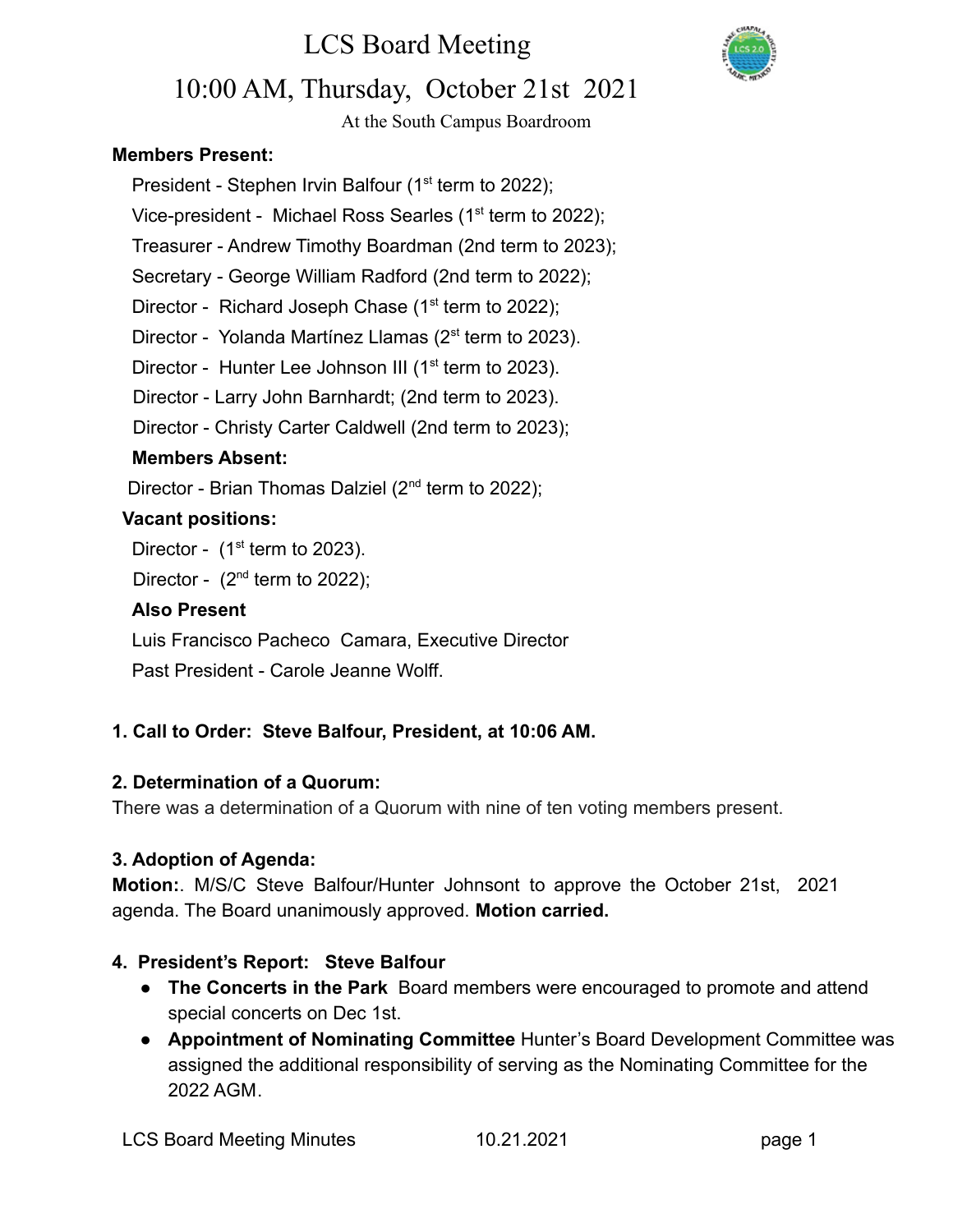

## 10:00 AM, Thursday, October 21st 2021

At the South Campus Boardroom

## **Members Present:**

President - Stephen Irvin Balfour  $(1<sup>st</sup>$  term to 2022);

Vice-president - Michael Ross Searles (1<sup>st</sup> term to 2022);

Treasurer - Andrew Timothy Boardman (2nd term to 2023);

Secretary - George William Radford (2nd term to 2022);

Director - Richard Joseph Chase  $(1<sup>st</sup>$  term to 2022);

Director - Yolanda Martínez Llamas (2<sup>st</sup> term to 2023).

Director - Hunter Lee Johnson III (1<sup>st</sup> term to 2023).

Director - Larry John Barnhardt; (2nd term to 2023).

Director - Christy Carter Caldwell (2nd term to 2023);

### **Members Absent:**

Director - Brian Thomas Dalziel  $(2^{nd}$  term to 2022);

### **Vacant positions:**

Director -  $(1<sup>st</sup>$  term to 2023).

Director -  $(2^{nd}$  term to 2022);

### **Also Present**

Luis Francisco Pacheco Camara, Executive Director Past President - Carole Jeanne Wolff.

## **1. Call to Order: Steve Balfour, President, at 10:06 AM.**

## **2. Determination of a Quorum:**

There was a determination of a Quorum with nine of ten voting members present.

## **3. Adoption of Agenda:**

**Motion:**. M/S/C Steve Balfour/Hunter Johnsont to approve the October 21st, 2021 agenda. The Board unanimously approved. **Motion carried.**

## **4. President's Report: Steve Balfour**

- **The Concerts in the Park** Board members were encouraged to promote and attend special concerts on Dec 1st.
- **Appointment of Nominating Committee** Hunter's Board Development Committee was assigned the additional responsibility of serving as the Nominating Committee for the 2022 AGM.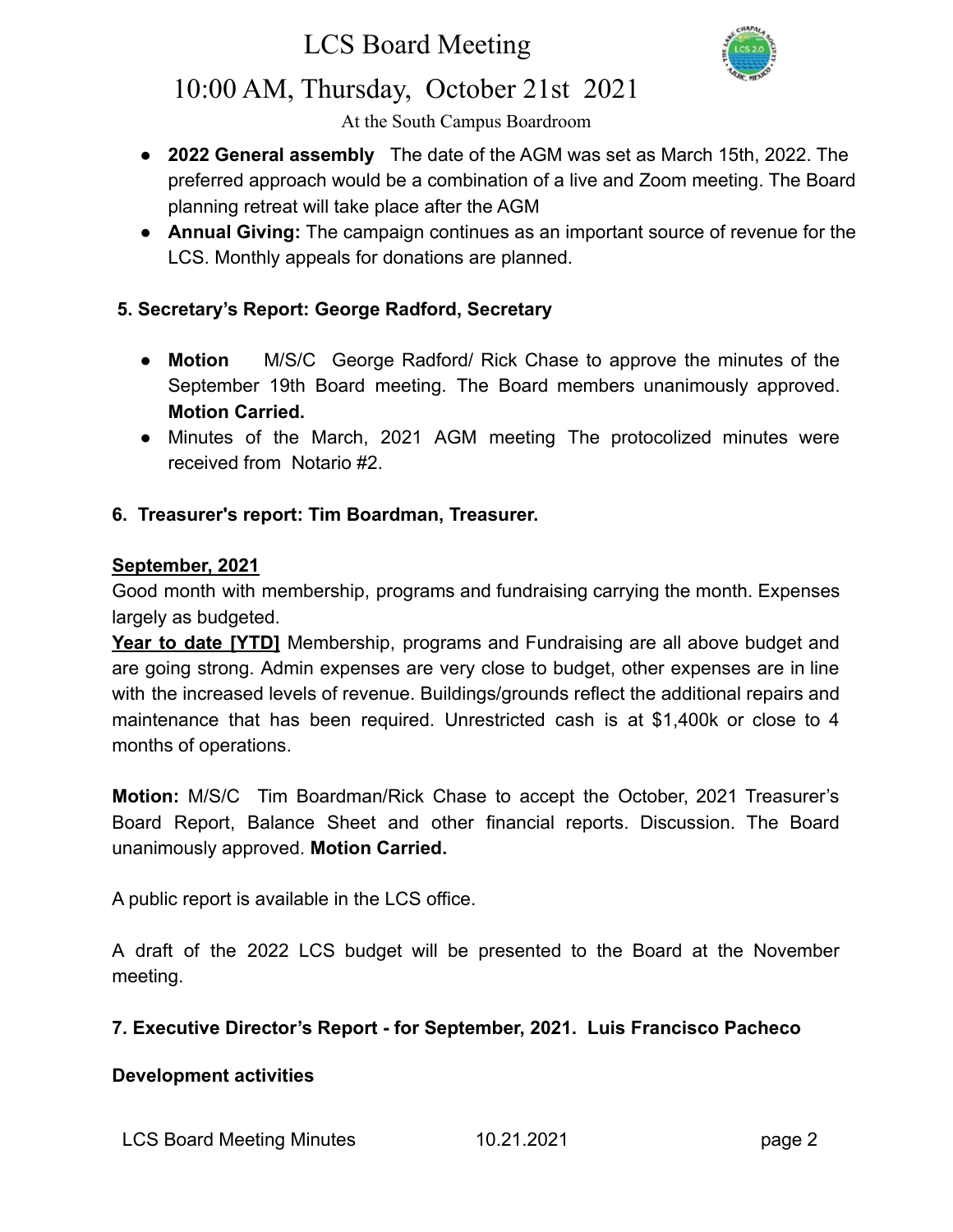

## 10:00 AM, Thursday, October 21st 2021

At the South Campus Boardroom

- **2022 General assembly** The date of the AGM was set as March 15th, 2022. The preferred approach would be a combination of a live and Zoom meeting. The Board planning retreat will take place after the AGM
- **Annual Giving:** The campaign continues as an important source of revenue for the LCS. Monthly appeals for donations are planned.

## **5. Secretary's Report: George Radford, Secretary**

- **Motion** M/S/C George Radford/ Rick Chase to approve the minutes of the September 19th Board meeting. The Board members unanimously approved. **Motion Carried.**
- **●** Minutes of the March, 2021 AGM meeting The protocolized minutes were received from Notario #2.

### **6. Treasurer's report: Tim Boardman, Treasurer.**

#### **September, 2021**

Good month with membership, programs and fundraising carrying the month. Expenses largely as budgeted.

**Year to date [YTD]** Membership, programs and Fundraising are all above budget and are going strong. Admin expenses are very close to budget, other expenses are in line with the increased levels of revenue. Buildings/grounds reflect the additional repairs and maintenance that has been required. Unrestricted cash is at \$1,400k or close to 4 months of operations.

**Motion:** M/S/C Tim Boardman/Rick Chase to accept the October, 2021 Treasurer's Board Report, Balance Sheet and other financial reports. Discussion. The Board unanimously approved. **Motion Carried.**

A public report is available in the LCS office.

A draft of the 2022 LCS budget will be presented to the Board at the November meeting.

#### **7. Executive Director's Report - for September, 2021. Luis Francisco Pacheco**

#### **Development activities**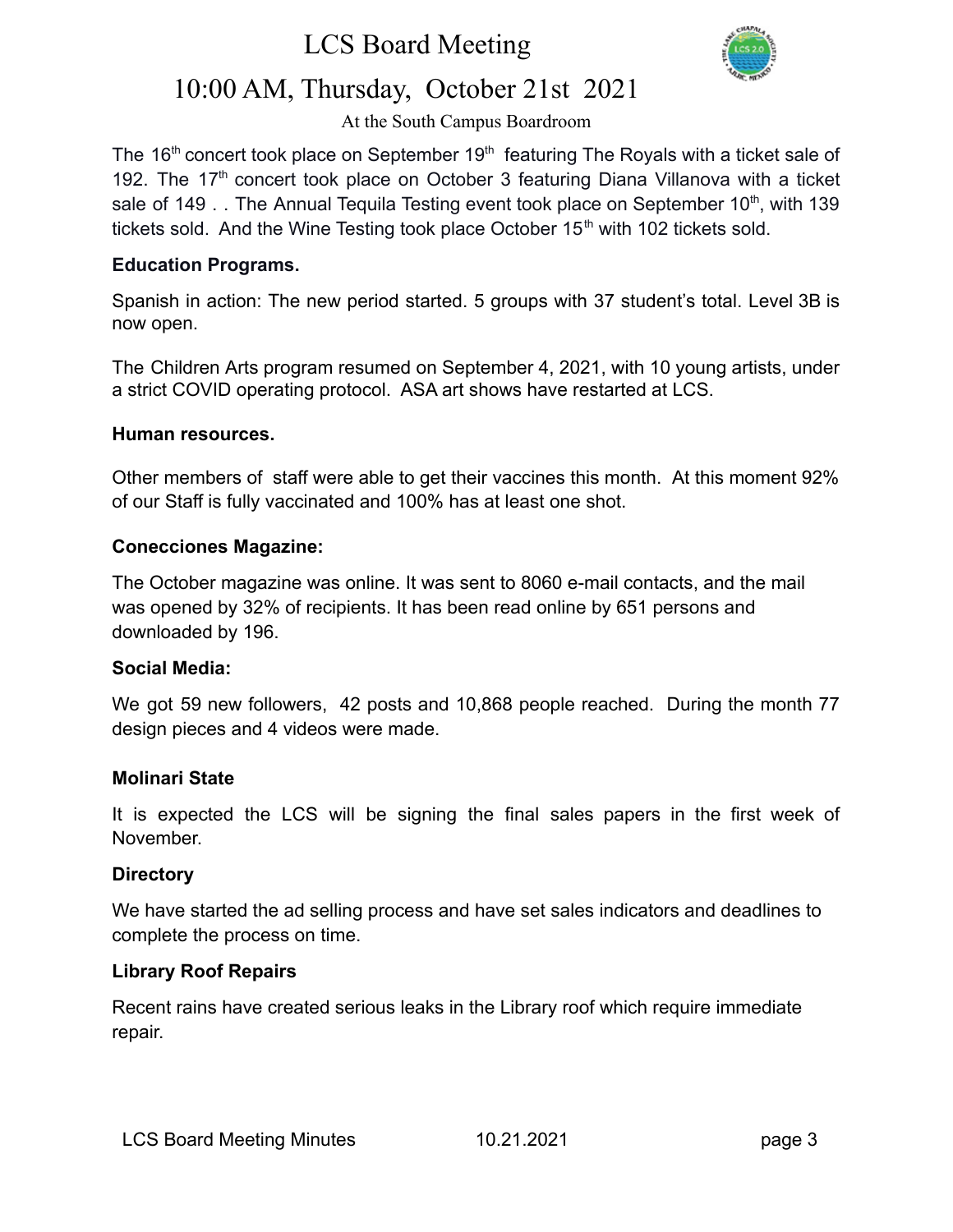

## 10:00 AM, Thursday, October 21st 2021

#### At the South Campus Boardroom

The  $16<sup>th</sup>$  concert took place on September  $19<sup>th</sup>$  featuring The Royals with a ticket sale of 192. The  $17<sup>th</sup>$  concert took place on October 3 featuring Diana Villanova with a ticket sale of 149  $\ldots$  The Annual Tequila Testing event took place on September 10<sup>th</sup>, with 139 tickets sold. And the Wine Testing took place October  $15<sup>th</sup>$  with 102 tickets sold.

#### **Education Programs.**

Spanish in action: The new period started. 5 groups with 37 student's total. Level 3B is now open.

The Children Arts program resumed on September 4, 2021, with 10 young artists, under a strict COVID operating protocol. ASA art shows have restarted at LCS.

#### **Human resources.**

Other members of staff were able to get their vaccines this month. At this moment 92% of our Staff is fully vaccinated and 100% has at least one shot.

#### **Conecciones Magazine:**

The October magazine was online. It was sent to 8060 e-mail contacts, and the mail was opened by 32% of recipients. It has been read online by 651 persons and downloaded by 196.

#### **Social Media:**

We got 59 new followers, 42 posts and 10,868 people reached. During the month 77 design pieces and 4 videos were made.

#### **Molinari State**

It is expected the LCS will be signing the final sales papers in the first week of November.

#### **Directory**

We have started the ad selling process and have set sales indicators and deadlines to complete the process on time.

#### **Library Roof Repairs**

Recent rains have created serious leaks in the Library roof which require immediate repair.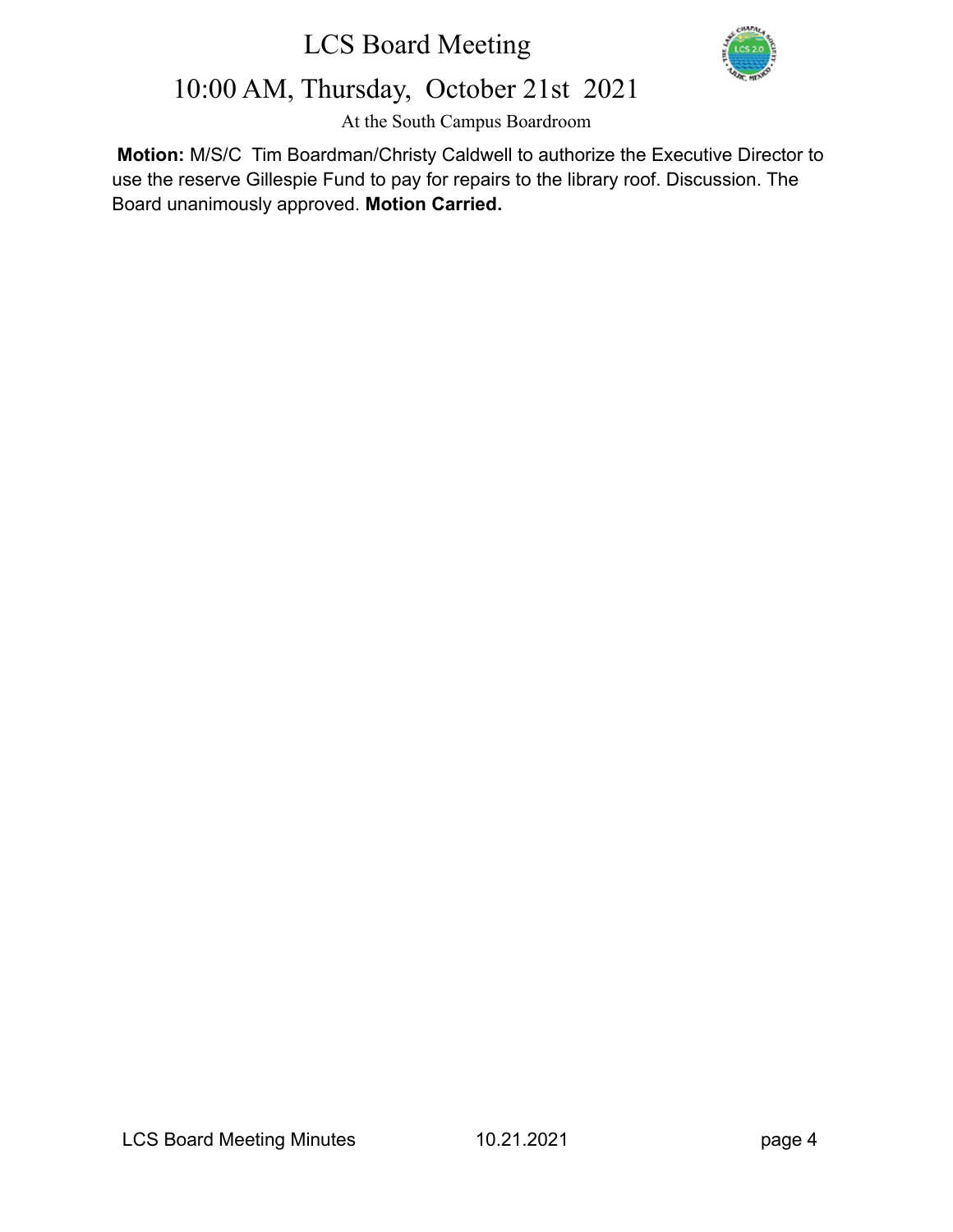

## 10:00 AM, Thursday, October 21st 2021

At the South Campus Boardroom

**Motion:** M/S/C Tim Boardman/Christy Caldwell to authorize the Executive Director to use the reserve Gillespie Fund to pay for repairs to the library roof. Discussion. The Board unanimously approved. **Motion Carried.**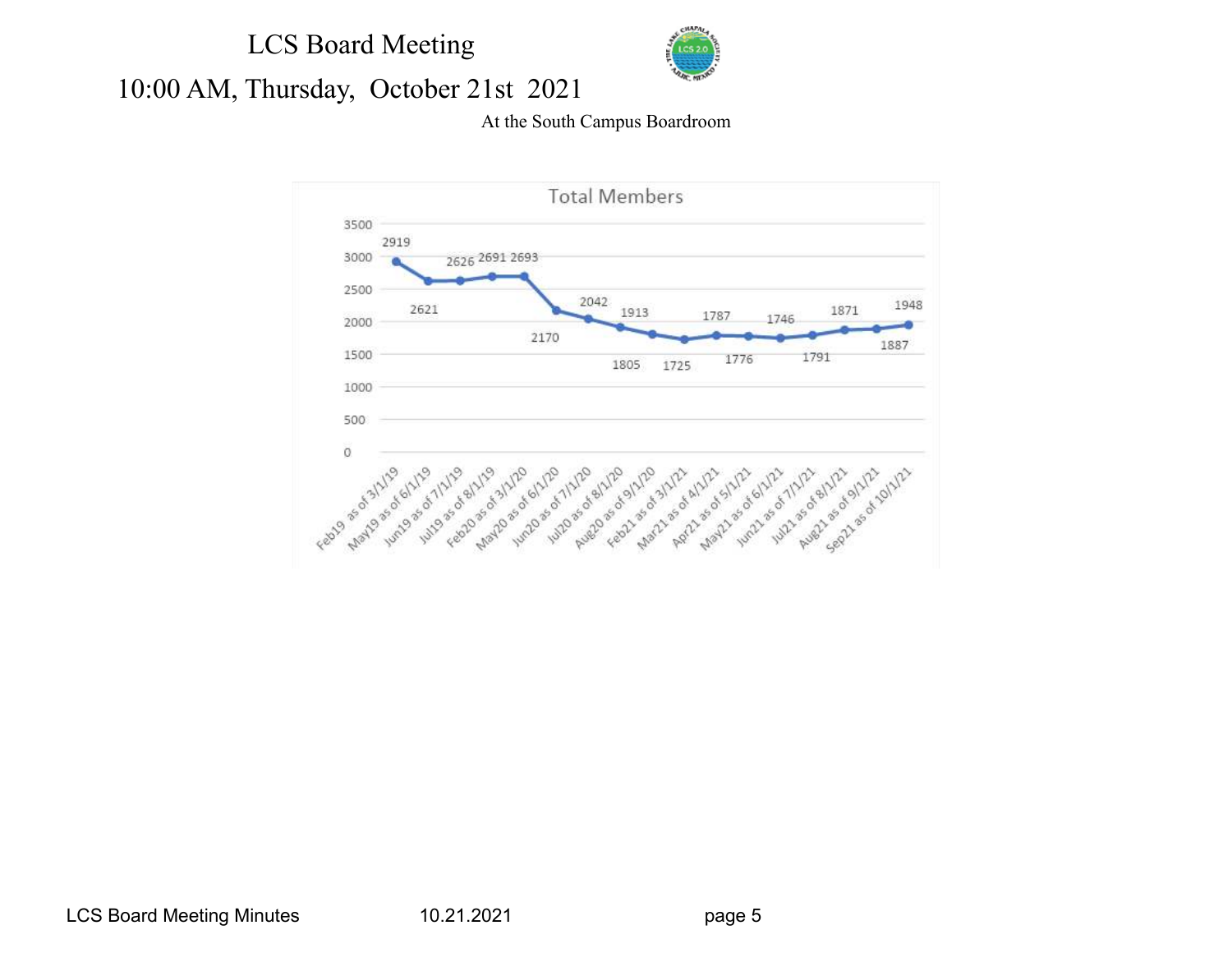

# 10:00 AM, Thursday, October 21st 2021

#### At the South Campus Boardroom

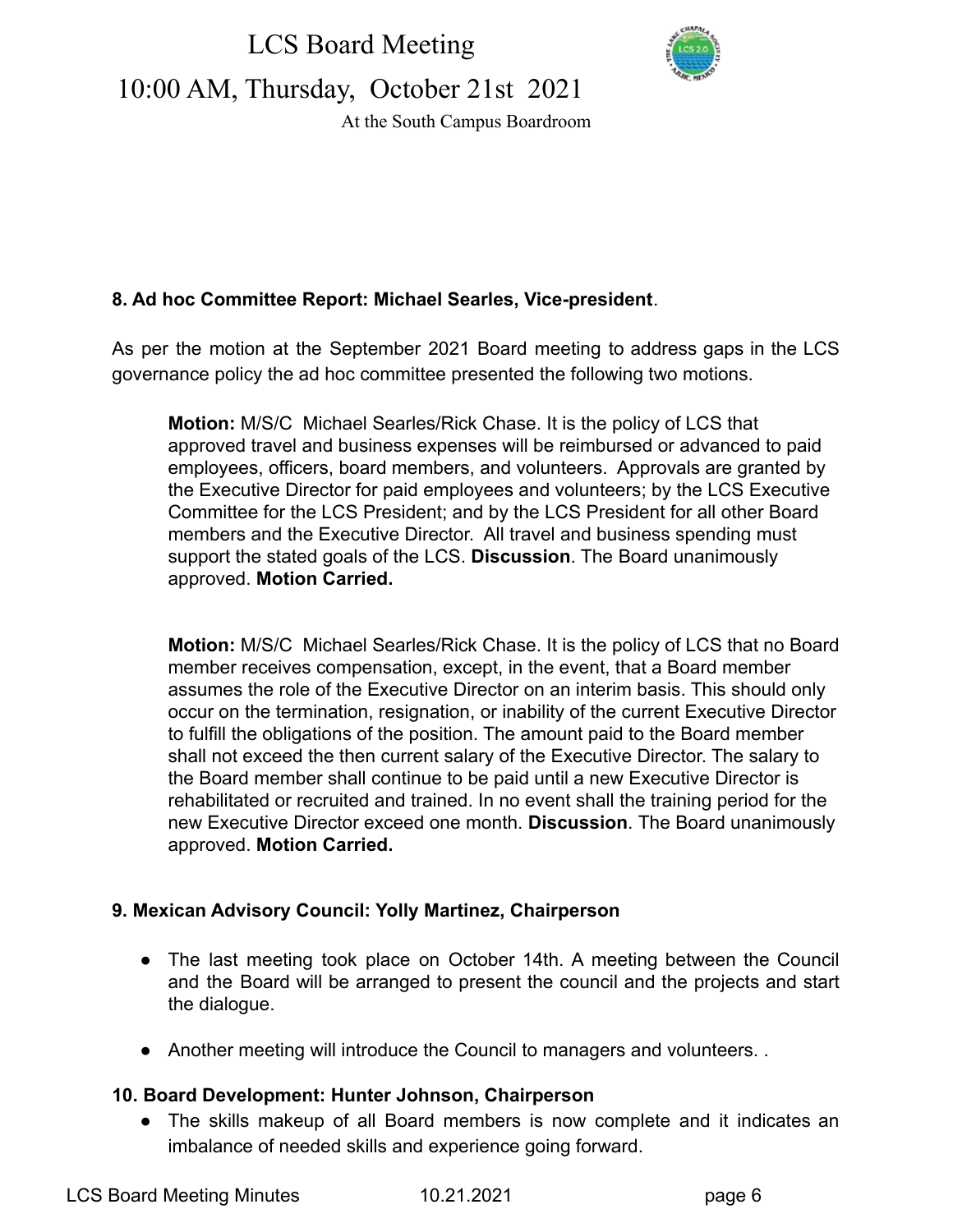

10:00 AM, Thursday, October 21st 2021

At the South Campus Boardroom

## **8. Ad hoc Committee Report: Michael Searles, Vice-president**.

As per the motion at the September 2021 Board meeting to address gaps in the LCS governance policy the ad hoc committee presented the following two motions.

**Motion:** M/S/C Michael Searles/Rick Chase. It is the policy of LCS that approved travel and business expenses will be reimbursed or advanced to paid employees, officers, board members, and volunteers. Approvals are granted by the Executive Director for paid employees and volunteers; by the LCS Executive Committee for the LCS President; and by the LCS President for all other Board members and the Executive Director. All travel and business spending must support the stated goals of the LCS. **Discussion**. The Board unanimously approved. **Motion Carried.**

**Motion:** M/S/C Michael Searles/Rick Chase. It is the policy of LCS that no Board member receives compensation, except, in the event, that a Board member assumes the role of the Executive Director on an interim basis. This should only occur on the termination, resignation, or inability of the current Executive Director to fulfill the obligations of the position. The amount paid to the Board member shall not exceed the then current salary of the Executive Director. The salary to the Board member shall continue to be paid until a new Executive Director is rehabilitated or recruited and trained. In no event shall the training period for the new Executive Director exceed one month. **Discussion**. The Board unanimously approved. **Motion Carried.**

## **9. Mexican Advisory Council: Yolly Martinez, Chairperson**

- The last meeting took place on October 14th. A meeting between the Council and the Board will be arranged to present the council and the projects and start the dialogue.
- Another meeting will introduce the Council to managers and volunteers. .

#### **10. Board Development: Hunter Johnson, Chairperson**

**●** The skills makeup of all Board members is now complete and it indicates an imbalance of needed skills and experience going forward.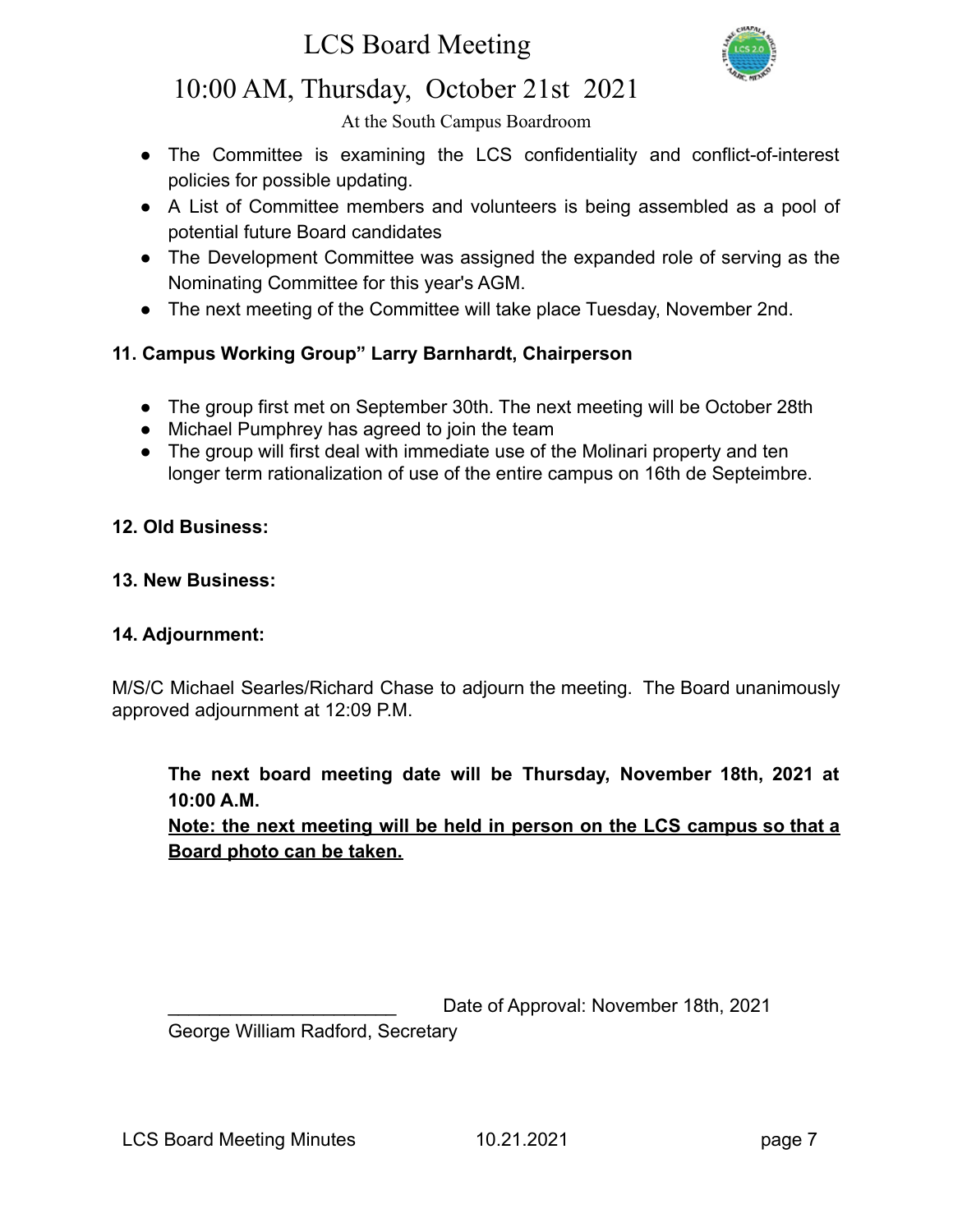

## 10:00 AM, Thursday, October 21st 2021

At the South Campus Boardroom

- The Committee is examining the LCS confidentiality and conflict-of-interest policies for possible updating.
- A List of Committee members and volunteers is being assembled as a pool of potential future Board candidates
- The Development Committee was assigned the expanded role of serving as the Nominating Committee for this year's AGM.
- **●** The next meeting of the Committee will take place Tuesday, November 2nd.

## **11. Campus Working Group" Larry Barnhardt, Chairperson**

- The group first met on September 30th. The next meeting will be October 28th
- Michael Pumphrey has agreed to join the team
- The group will first deal with immediate use of the Molinari property and ten longer term rationalization of use of the entire campus on 16th de Septeimbre.

#### **12. Old Business:**

#### **13. New Business:**

#### **14. Adjournment:**

M/S/C Michael Searles/Richard Chase to adjourn the meeting. The Board unanimously approved adjournment at 12:09 P.M.

### **The next board meeting date will be Thursday, November 18th, 2021 at 10:00 A.M.**

**Note: the next meeting will be held in person on the LCS campus so that a Board photo can be taken.**

Date of Approval: November 18th, 2021

George William Radford, Secretary